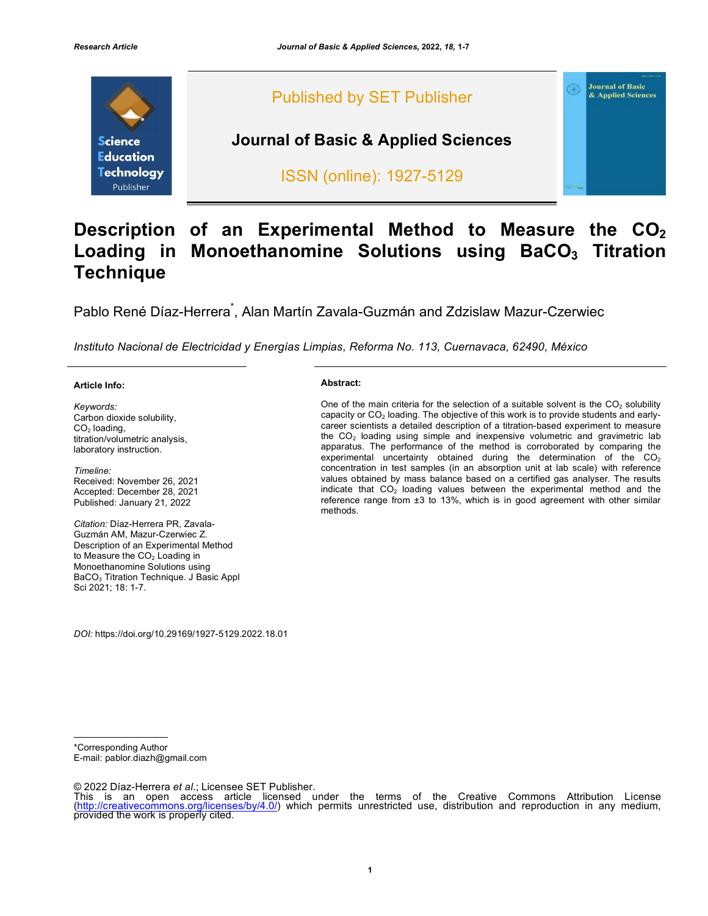

# **Description of an Experimental Method to Measure the CO2** Loading in Monoethanomine Solutions using BaCO<sub>3</sub> Titration **Technique**

Pablo René Díaz-Herrera<sup>\*</sup>, Alan Martín Zavala-Guzmán and Zdzislaw Mazur-Czerwiec

*Instituto Nacional de Electricidad y Energías Limpias, Reforma No. 113, Cuernavaca, 62490, México*

#### **Article Info:**

*Keywords:* Carbon dioxide solubility, CO<sub>2</sub> loading, titration/volumetric analysis, laboratory instruction.

*Timeline:* Received: November 26, 2021 Accepted: December 28, 2021 Published: January 21, 2022

*Citation:* Díaz-Herrera PR, Zavala-Guzmán AM, Mazur-Czerwiec Z. Description of an Experimental Method to Measure the CO<sub>2</sub> Loading in Monoethanomine Solutions using BaCO<sub>3</sub> Titration Technique. J Basic Appl Sci 2021; 18: 1-7.

*DOI:* https://doi.org/10.29169/1927-5129.2022.18.01

#### **Abstract:**

One of the main criteria for the selection of a suitable solvent is the  $CO<sub>2</sub>$  solubility capacity or  $CO<sub>2</sub>$  loading. The objective of this work is to provide students and earlycareer scientists a detailed description of a titration-based experiment to measure the  $CO<sub>2</sub>$  loading using simple and inexpensive volumetric and gravimetric lab apparatus. The performance of the method is corroborated by comparing the experimental uncertainty obtained during the determination of the  $CO<sub>2</sub>$ concentration in test samples (in an absorption unit at lab scale) with reference values obtained by mass balance based on a certified gas analyser. The results indicate that  $CO<sub>2</sub>$  loading values between the experimental method and the reference range from ±3 to 13%, which is in good agreement with other similar methods.

\*Corresponding Author

E-mail: pablor.diazh@gmail.com

<sup>© 2022</sup> Díaz-Herrera *et al.*; Licensee SET Publisher.<br>This is an open access article licensed under the terms of the Creative Commons Attribution License (http://creativecommons.org/licenses/by/4.0/) which permits unrestricted use, distribution and reproduction in any medium,<br>provided the work is properly cited.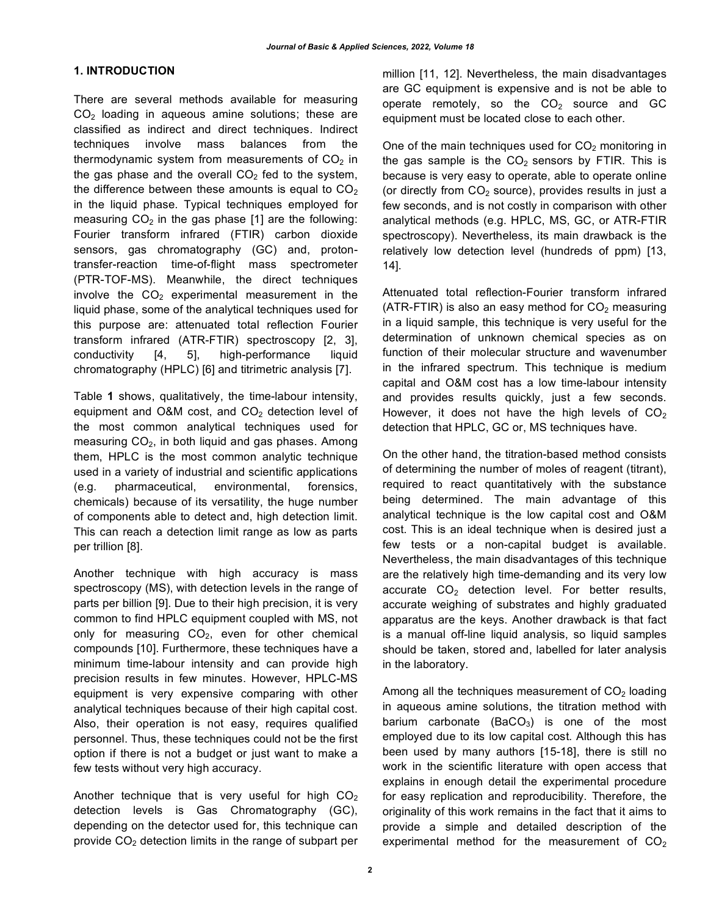## **1. INTRODUCTION**

There are several methods available for measuring CO2 loading in aqueous amine solutions; these are classified as indirect and direct techniques. Indirect techniques involve mass balances from the thermodynamic system from measurements of  $CO<sub>2</sub>$  in the gas phase and the overall  $CO<sub>2</sub>$  fed to the system, the difference between these amounts is equal to  $CO<sub>2</sub>$ in the liquid phase. Typical techniques employed for measuring  $CO<sub>2</sub>$  in the gas phase [1] are the following: Fourier transform infrared (FTIR) carbon dioxide sensors, gas chromatography (GC) and, protontransfer-reaction time-of-flight mass spectrometer (PTR-TOF-MS). Meanwhile, the direct techniques involve the  $CO<sub>2</sub>$  experimental measurement in the liquid phase, some of the analytical techniques used for this purpose are: attenuated total reflection Fourier transform infrared (ATR-FTIR) spectroscopy [2, 3], conductivity [4, 5], high-performance liquid chromatography (HPLC) [6] and titrimetric analysis [7].

Table **1** shows, qualitatively, the time-labour intensity, equipment and O&M cost, and  $CO<sub>2</sub>$  detection level of the most common analytical techniques used for measuring  $CO<sub>2</sub>$ , in both liquid and gas phases. Among them, HPLC is the most common analytic technique used in a variety of industrial and scientific applications (e.g. pharmaceutical, environmental, forensics, chemicals) because of its versatility, the huge number of components able to detect and, high detection limit. This can reach a detection limit range as low as parts per trillion [8].

Another technique with high accuracy is mass spectroscopy (MS), with detection levels in the range of parts per billion [9]. Due to their high precision, it is very common to find HPLC equipment coupled with MS, not only for measuring  $CO<sub>2</sub>$ , even for other chemical compounds [10]. Furthermore, these techniques have a minimum time-labour intensity and can provide high precision results in few minutes. However, HPLC-MS equipment is very expensive comparing with other analytical techniques because of their high capital cost. Also, their operation is not easy, requires qualified personnel. Thus, these techniques could not be the first option if there is not a budget or just want to make a few tests without very high accuracy.

Another technique that is very useful for high  $CO<sub>2</sub>$ detection levels is Gas Chromatography (GC), depending on the detector used for, this technique can provide  $CO<sub>2</sub>$  detection limits in the range of subpart per

million [11, 12]. Nevertheless, the main disadvantages are GC equipment is expensive and is not be able to operate remotely, so the  $CO<sub>2</sub>$  source and GC equipment must be located close to each other.

One of the main techniques used for  $CO<sub>2</sub>$  monitoring in the gas sample is the  $CO<sub>2</sub>$  sensors by FTIR. This is because is very easy to operate, able to operate online (or directly from  $CO<sub>2</sub>$  source), provides results in just a few seconds, and is not costly in comparison with other analytical methods (e.g. HPLC, MS, GC, or ATR-FTIR spectroscopy). Nevertheless, its main drawback is the relatively low detection level (hundreds of ppm) [13, 14].

Attenuated total reflection-Fourier transform infrared (ATR-FTIR) is also an easy method for  $CO<sub>2</sub>$  measuring in a liquid sample, this technique is very useful for the determination of unknown chemical species as on function of their molecular structure and wavenumber in the infrared spectrum. This technique is medium capital and O&M cost has a low time-labour intensity and provides results quickly, just a few seconds. However, it does not have the high levels of  $CO<sub>2</sub>$ detection that HPLC, GC or, MS techniques have.

On the other hand, the titration-based method consists of determining the number of moles of reagent (titrant), required to react quantitatively with the substance being determined. The main advantage of this analytical technique is the low capital cost and O&M cost. This is an ideal technique when is desired just a few tests or a non-capital budget is available. Nevertheless, the main disadvantages of this technique are the relatively high time-demanding and its very low accurate  $CO<sub>2</sub>$  detection level. For better results, accurate weighing of substrates and highly graduated apparatus are the keys. Another drawback is that fact is a manual off-line liquid analysis, so liquid samples should be taken, stored and, labelled for later analysis in the laboratory.

Among all the techniques measurement of  $CO<sub>2</sub>$  loading in aqueous amine solutions, the titration method with barium carbonate  $(BaCO<sub>3</sub>)$  is one of the most employed due to its low capital cost. Although this has been used by many authors [15-18], there is still no work in the scientific literature with open access that explains in enough detail the experimental procedure for easy replication and reproducibility. Therefore, the originality of this work remains in the fact that it aims to provide a simple and detailed description of the experimental method for the measurement of  $CO<sub>2</sub>$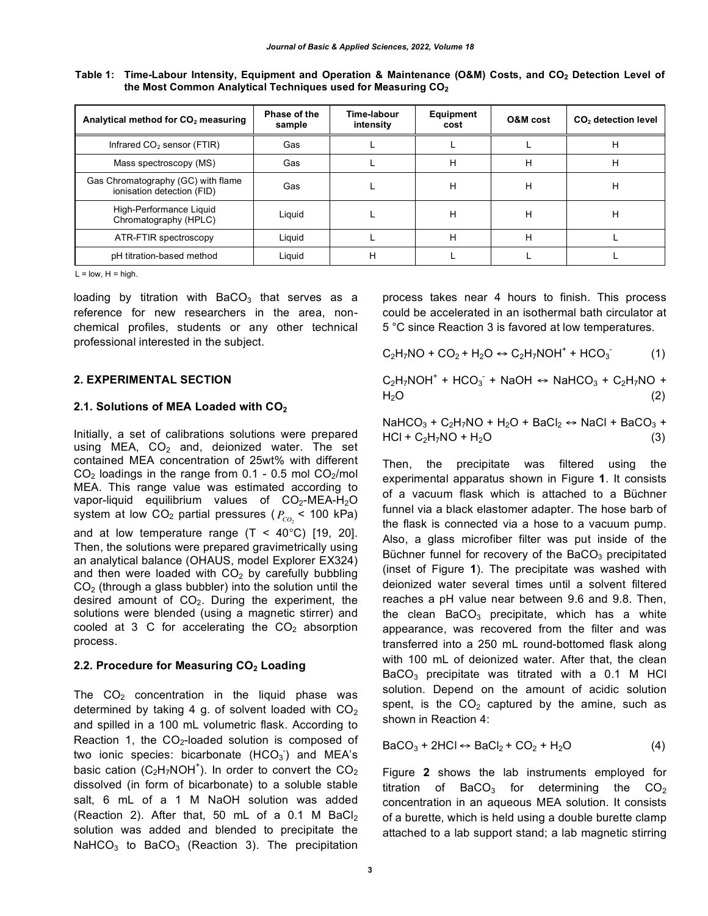Table 1: Time-Labour Intensity, Equipment and Operation & Maintenance (O&M) Costs, and CO<sub>2</sub> Detection Level of **the Most Common Analytical Techniques used for Measuring CO2**

| Analytical method for CO <sub>2</sub> measuring                  | Phase of the<br>sample | Time-labour<br>intensity | Equipment<br>cost | O&M cost | CO <sub>2</sub> detection level |
|------------------------------------------------------------------|------------------------|--------------------------|-------------------|----------|---------------------------------|
| Infrared $CO2$ sensor (FTIR)                                     | Gas                    |                          |                   |          | н                               |
| Mass spectroscopy (MS)                                           | Gas                    |                          | н                 | н        | Н                               |
| Gas Chromatography (GC) with flame<br>ionisation detection (FID) | Gas                    |                          | н                 | н        | Н                               |
| High-Performance Liquid<br>Chromatography (HPLC)                 | Liguid                 |                          | н                 | н        | н                               |
| ATR-FTIR spectroscopy                                            | Liquid                 |                          | н                 | н        |                                 |
| pH titration-based method                                        | Liguid                 | н                        |                   |          |                                 |

 $L = low, H = high.$ 

loading by titration with  $BaCO<sub>3</sub>$  that serves as a reference for new researchers in the area, nonchemical profiles, students or any other technical professional interested in the subject.

#### **2. EXPERIMENTAL SECTION**

#### 2.1. Solutions of MEA Loaded with CO<sub>2</sub>

Initially, a set of calibrations solutions were prepared using MEA,  $CO<sub>2</sub>$  and, deionized water. The set contained MEA concentration of 25wt% with different  $CO<sub>2</sub>$  loadings in the range from 0.1 - 0.5 mol  $CO<sub>2</sub>/mol$ MEA. This range value was estimated according to vapor-liquid equilibrium values of  $CO<sub>2</sub>$ -MEA-H<sub>2</sub>O system at low CO<sub>2</sub> partial pressures ( $P_{CO_2}$  < 100 kPa) and at low temperature range  $(T < 40^{\circ}C)$  [19, 20]. Then, the solutions were prepared gravimetrically using an analytical balance (OHAUS, model Explorer EX324) and then were loaded with  $CO<sub>2</sub>$  by carefully bubbling  $CO<sub>2</sub>$  (through a glass bubbler) into the solution until the desired amount of  $CO<sub>2</sub>$ . During the experiment, the solutions were blended (using a magnetic stirrer) and cooled at 3  $\degree$  C for accelerating the  $CO<sub>2</sub>$  absorption process.

#### **2.2. Procedure for Measuring CO<sub>2</sub> Loading**

The  $CO<sub>2</sub>$  concentration in the liquid phase was determined by taking 4 g. of solvent loaded with  $CO<sub>2</sub>$ and spilled in a 100 mL volumetric flask. According to Reaction 1, the  $CO<sub>2</sub>$ -loaded solution is composed of two ionic species: bicarbonate  $(HCO<sub>3</sub>)$  and MEA's basic cation (C<sub>2</sub>H<sub>7</sub>NOH<sup>+</sup>). In order to convert the CO<sub>2</sub> dissolved (in form of bicarbonate) to a soluble stable salt, 6 mL of a 1 M NaOH solution was added (Reaction 2). After that, 50 mL of a 0.1 M BaCl<sub>2</sub> solution was added and blended to precipitate the NaHCO<sub>3</sub> to BaCO<sub>3</sub> (Reaction 3). The precipitation

process takes near 4 hours to finish. This process could be accelerated in an isothermal bath circulator at 5 °C since Reaction 3 is favored at low temperatures.

 $C_2H_7NO + CO_2 + H_2O \leftrightarrow C_2H_7NOH^+ + HCO_3$  $(1)$ 

 $C_2H_7NOH^+ + HCO_3^- + NaOH \leftrightarrow NaHCO_3 + C_2H_7NO +$  $H_2O$  (2)

 $NaHCO<sub>3</sub> + C<sub>2</sub>H<sub>7</sub>NO + H<sub>2</sub>O + BacCl<sub>2</sub> \leftrightarrow NaCl + BacO<sub>3</sub> +$  $HCl + C<sub>2</sub>H<sub>7</sub>NO + H<sub>2</sub>O$  (3)

Then, the precipitate was filtered using the experimental apparatus shown in Figure **1**. It consists of a vacuum flask which is attached to a Büchner funnel via a black elastomer adapter. The hose barb of the flask is connected via a hose to a vacuum pump. Also, a glass microfiber filter was put inside of the Büchner funnel for recovery of the  $BaCO<sub>3</sub>$  precipitated (inset of Figure **1**). The precipitate was washed with deionized water several times until a solvent filtered reaches a pH value near between 9.6 and 9.8. Then, the clean  $BACO<sub>3</sub>$  precipitate, which has a white appearance, was recovered from the filter and was transferred into a 250 mL round-bottomed flask along with 100 mL of deionized water. After that, the clean  $BaCO<sub>3</sub>$  precipitate was titrated with a 0.1 M HCl solution. Depend on the amount of acidic solution spent, is the  $CO<sub>2</sub>$  captured by the amine, such as shown in Reaction 4:

$$
BaCO3 + 2HCl \leftrightarrow BaCl2 + CO2 + H2O
$$
 (4)

Figure **2** shows the lab instruments employed for titration of BaCO<sub>3</sub> for determining the  $CO<sub>2</sub>$ concentration in an aqueous MEA solution. It consists of a burette, which is held using a double burette clamp attached to a lab support stand; a lab magnetic stirring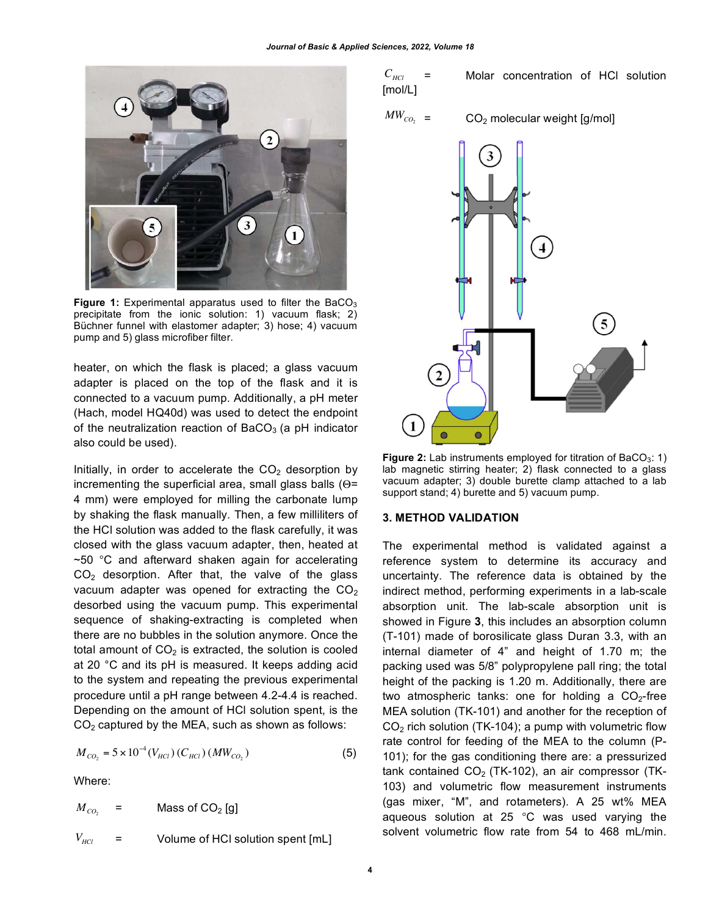

Figure 1: Experimental apparatus used to filter the BaCO<sub>3</sub> precipitate from the ionic solution: 1) vacuum flask; 2) Büchner funnel with elastomer adapter; 3) hose; 4) vacuum pump and 5) glass microfiber filter.

heater, on which the flask is placed; a glass vacuum adapter is placed on the top of the flask and it is connected to a vacuum pump. Additionally, a pH meter (Hach, model HQ40d) was used to detect the endpoint of the neutralization reaction of BaCO<sub>3</sub> (a pH indicator also could be used).

Initially, in order to accelerate the  $CO<sub>2</sub>$  desorption by incrementing the superficial area, small glass balls (Θ= 4 mm) were employed for milling the carbonate lump by shaking the flask manually. Then, a few milliliters of the HCl solution was added to the flask carefully, it was closed with the glass vacuum adapter, then, heated at ~50 °C and afterward shaken again for accelerating  $CO<sub>2</sub>$  desorption. After that, the valve of the glass vacuum adapter was opened for extracting the  $CO<sub>2</sub>$ desorbed using the vacuum pump. This experimental sequence of shaking-extracting is completed when there are no bubbles in the solution anymore. Once the total amount of  $CO<sub>2</sub>$  is extracted, the solution is cooled at 20 °C and its pH is measured. It keeps adding acid to the system and repeating the previous experimental procedure until a pH range between 4.2-4.4 is reached. Depending on the amount of HCl solution spent, is the  $CO<sub>2</sub>$  captured by the MEA, such as shown as follows:

$$
M_{CO_2} = 5 \times 10^{-4} (V_{HCl}) (C_{HCl}) (MW_{CO_2})
$$
 (5)

Where:

$$
M_{CO_2} = \qquad \text{Mass of CO}_2 \text{ [g]}
$$

$$
V_{HCl} = \qquad \text{Volume of HCl solution spent [mL]}
$$

$$
C_{HCl} = \text{Molar concentration of HCl solution}
$$
  
[mol/L]

$$
MW_{CO_2} =
$$

CO<sub>2</sub> molecular weight [g/mol]



**Figure 2:** Lab instruments employed for titration of BaCO<sub>3</sub>: 1) lab magnetic stirring heater; 2) flask connected to a glass vacuum adapter; 3) double burette clamp attached to a lab support stand; 4) burette and 5) vacuum pump.

### **3. METHOD VALIDATION**

The experimental method is validated against a reference system to determine its accuracy and uncertainty. The reference data is obtained by the indirect method, performing experiments in a lab-scale absorption unit. The lab-scale absorption unit is showed in Figure **3**, this includes an absorption column (T-101) made of borosilicate glass Duran 3.3, with an internal diameter of 4" and height of 1.70 m; the packing used was 5/8" polypropylene pall ring; the total height of the packing is 1.20 m. Additionally, there are two atmospheric tanks: one for holding a  $CO<sub>2</sub>$ -free MEA solution (TK-101) and another for the reception of  $CO<sub>2</sub>$  rich solution (TK-104); a pump with volumetric flow rate control for feeding of the MEA to the column (P-101); for the gas conditioning there are: a pressurized tank contained  $CO<sub>2</sub>$  (TK-102), an air compressor (TK-103) and volumetric flow measurement instruments (gas mixer, "M", and rotameters). A 25 wt% MEA aqueous solution at 25 °C was used varying the solvent volumetric flow rate from 54 to 468 mL/min.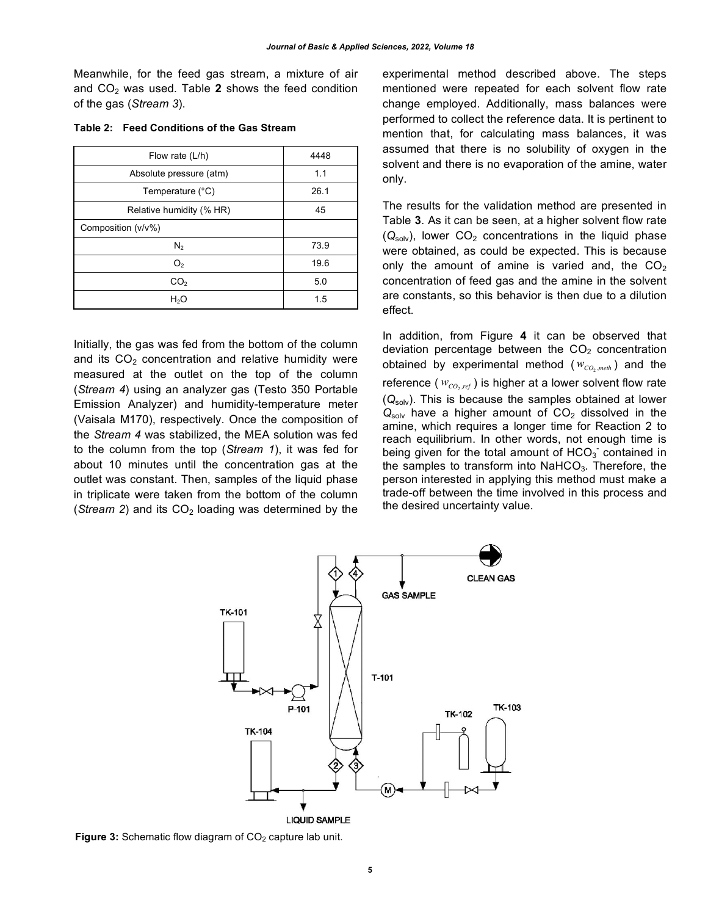Meanwhile, for the feed gas stream, a mixture of air and CO2 was used. Table **2** shows the feed condition of the gas (*Stream 3*).

| Flow rate (L/h)           | 4448 |
|---------------------------|------|
| Absolute pressure (atm)   | 1.1  |
| Temperature $(^{\circ}C)$ | 26.1 |
| Relative humidity (% HR)  | 45   |
| Composition (v/v%)        |      |
| $N_{2}$                   | 73.9 |
| О,                        | 19.6 |
| CO <sub>2</sub>           | 5.0  |
| H <sub>2</sub> O          | 1.5  |

**Table 2: Feed Conditions of the Gas Stream**

Initially, the gas was fed from the bottom of the column and its  $CO<sub>2</sub>$  concentration and relative humidity were measured at the outlet on the top of the column (*Stream 4*) using an analyzer gas (Testo 350 Portable Emission Analyzer) and humidity-temperature meter (Vaisala M170), respectively. Once the composition of the *Stream 4* was stabilized, the MEA solution was fed to the column from the top (*Stream 1*), it was fed for about 10 minutes until the concentration gas at the outlet was constant. Then, samples of the liquid phase in triplicate were taken from the bottom of the column (*Stream 2*) and its  $CO<sub>2</sub>$  loading was determined by the experimental method described above. The steps mentioned were repeated for each solvent flow rate change employed. Additionally, mass balances were performed to collect the reference data. It is pertinent to mention that, for calculating mass balances, it was assumed that there is no solubility of oxygen in the solvent and there is no evaporation of the amine, water only.

The results for the validation method are presented in Table **3**. As it can be seen, at a higher solvent flow rate  $(Q_{solv})$ , lower  $CO<sub>2</sub>$  concentrations in the liquid phase were obtained, as could be expected. This is because only the amount of amine is varied and, the  $CO<sub>2</sub>$ concentration of feed gas and the amine in the solvent are constants, so this behavior is then due to a dilution effect.

In addition, from Figure **4** it can be observed that deviation percentage between the  $CO<sub>2</sub>$  concentration obtained by experimental method  $(w_{CO_2, meth})$  and the reference ( $w_{CO,ref}$ ) is higher at a lower solvent flow rate (*Q*solv). This is because the samples obtained at lower  $Q_{solv}$  have a higher amount of  $CO<sub>2</sub>$  dissolved in the amine, which requires a longer time for Reaction 2 to reach equilibrium. In other words, not enough time is being given for the total amount of  $HCO<sub>3</sub>$  contained in the samples to transform into  $N$ aHCO<sub>3</sub>. Therefore, the person interested in applying this method must make a trade-off between the time involved in this process and the desired uncertainty value.



**Figure 3:** Schematic flow diagram of CO<sub>2</sub> capture lab unit.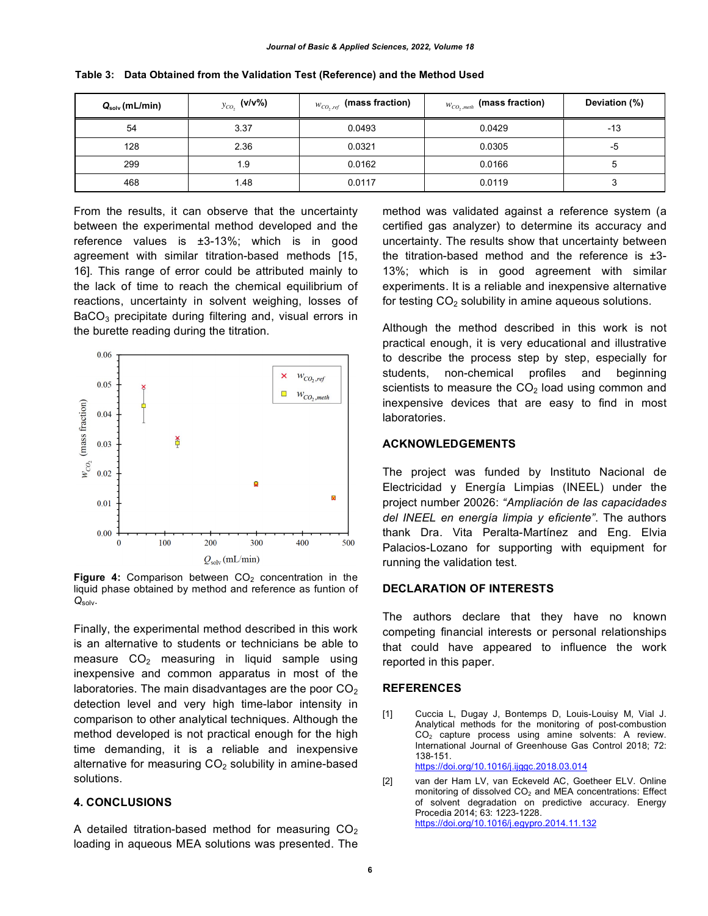| $Q_{\text{solv}}$ (mL/min) | $y_{CO_2}$ (v/v%) | $w_{CO_2,ref}$ (mass fraction) | $w_{CO_2,\\mathit{meth}}$ (mass fraction) | Deviation (%) |
|----------------------------|-------------------|--------------------------------|-------------------------------------------|---------------|
| 54                         | 3.37              | 0.0493                         | 0.0429                                    | $-13$         |
| 128                        | 2.36              | 0.0321                         | 0.0305                                    | -5            |
| 299                        | 1.9               | 0.0162                         | 0.0166                                    |               |
| 468                        | 1.48              | 0.0117                         | 0.0119                                    |               |

**Table 3: Data Obtained from the Validation Test (Reference) and the Method Used**

From the results, it can observe that the uncertainty between the experimental method developed and the reference values is ±3-13%; which is in good agreement with similar titration-based methods [15, 16]. This range of error could be attributed mainly to the lack of time to reach the chemical equilibrium of reactions, uncertainty in solvent weighing, losses of BaCO<sub>3</sub> precipitate during filtering and, visual errors in the burette reading during the titration.



Figure 4: Comparison between CO<sub>2</sub> concentration in the liquid phase obtained by method and reference as funtion of *Q*solv.

Finally, the experimental method described in this work is an alternative to students or technicians be able to measure  $CO<sub>2</sub>$  measuring in liquid sample using inexpensive and common apparatus in most of the laboratories. The main disadvantages are the poor  $CO<sub>2</sub>$ detection level and very high time-labor intensity in comparison to other analytical techniques. Although the method developed is not practical enough for the high time demanding, it is a reliable and inexpensive alternative for measuring  $CO<sub>2</sub>$  solubility in amine-based solutions.

# **4. CONCLUSIONS**

A detailed titration-based method for measuring  $CO<sub>2</sub>$ loading in aqueous MEA solutions was presented. The

method was validated against a reference system (a certified gas analyzer) to determine its accuracy and uncertainty. The results show that uncertainty between the titration-based method and the reference is  $\pm 3$ -13%; which is in good agreement with similar experiments. It is a reliable and inexpensive alternative for testing  $CO<sub>2</sub>$  solubility in amine aqueous solutions.

Although the method described in this work is not practical enough, it is very educational and illustrative to describe the process step by step, especially for students, non-chemical profiles and beginning scientists to measure the  $CO<sub>2</sub>$  load using common and inexpensive devices that are easy to find in most laboratories.

### **ACKNOWLEDGEMENTS**

The project was funded by Instituto Nacional de Electricidad y Energía Limpias (INEEL) under the project number 20026: *"Ampliación de las capacidades del INEEL en energía limpia y eficiente"*. The authors thank Dra. Vita Peralta-Martínez and Eng. Elvia Palacios-Lozano for supporting with equipment for running the validation test.

#### **DECLARATION OF INTERESTS**

The authors declare that they have no known competing financial interests or personal relationships that could have appeared to influence the work reported in this paper.

#### **REFERENCES**

[1] Cuccia L, Dugay J, Bontemps D, Louis-Louisy M, Vial J. Analytical methods for the monitoring of post-combustion CO2 capture process using amine solvents: A review. International Journal of Greenhouse Gas Control 2018; 72: 138-151. https://doi.org/10.1016/j.ijggc.2018.03.014

[2] van der Ham LV, van Eckeveld AC, Goetheer ELV. Online monitoring of dissolved  $CO<sub>2</sub>$  and MEA concentrations: Effect of solvent degradation on predictive accuracy. Energy Procedia 2014; 63: 1223-1228. https://doi.org/10.1016/j.egypro.2014.11.132